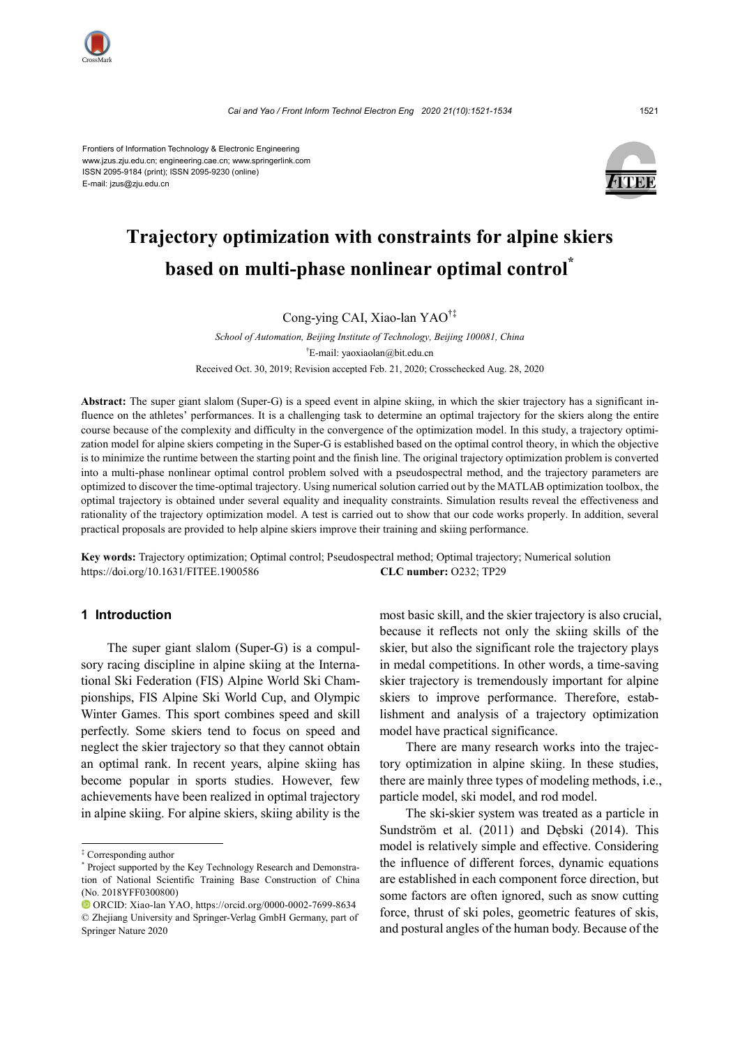

Frontiers of Information Technology & Electronic Engineering www.jzus.zju.edu.cn; engineering.cae.cn; www.springerlink.com ISSN 2095-9184 (print); ISSN 2095-9230 (online) E-mail: jzus@zju.edu.cn



# **Trajectory optimization with constraints for alpine skiers based on multi-phase nonlinear optimal control\***

# Cong-ying CAI, Xiao-lan YAO†‡

*School of Automation, Beijing Institute of Technology, Beijing 100081, China* † E-mail: yaoxiaolan@bit.edu.cn Received Oct. 30, 2019; Revision accepted Feb. 21, 2020; Crosschecked Aug. 28, 2020

**Abstract:** The super giant slalom (Super-G) is a speed event in alpine skiing, in which the skier trajectory has a significant influence on the athletes' performances. It is a challenging task to determine an optimal trajectory for the skiers along the entire course because of the complexity and difficulty in the convergence of the optimization model. In this study, a trajectory optimization model for alpine skiers competing in the Super-G is established based on the optimal control theory, in which the objective is to minimize the runtime between the starting point and the finish line. The original trajectory optimization problem is converted into a multi-phase nonlinear optimal control problem solved with a pseudospectral method, and the trajectory parameters are optimized to discover the time-optimal trajectory. Using numerical solution carried out by the MATLAB optimization toolbox, the optimal trajectory is obtained under several equality and inequality constraints. Simulation results reveal the effectiveness and rationality of the trajectory optimization model. A test is carried out to show that our code works properly. In addition, several practical proposals are provided to help alpine skiers improve their training and skiing performance.

**Key words:** Trajectory optimization; Optimal control; Pseudospectral method; Optimal trajectory; Numerical solution https://doi.org/10.1631/FITEE.1900586 **CLC number:** O232; TP29

# **1 Introduction**

The super giant slalom (Super-G) is a compulsory racing discipline in alpine skiing at the International Ski Federation (FIS) Alpine World Ski Championships, FIS Alpine Ski World Cup, and Olympic Winter Games. This sport combines speed and skill perfectly. Some skiers tend to focus on speed and neglect the skier trajectory so that they cannot obtain an optimal rank. In recent years, alpine skiing has become popular in sports studies. However, few achievements have been realized in optimal trajectory in alpine skiing. For alpine skiers, skiing ability is the

most basic skill, and the skier trajectory is also crucial, because it reflects not only the skiing skills of the skier, but also the significant role the trajectory plays in medal competitions. In other words, a time-saving skier trajectory is tremendously important for alpine skiers to improve performance. Therefore, establishment and analysis of a trajectory optimization model have practical significance.

There are many research works into the trajectory optimization in alpine skiing. In these studies, there are mainly three types of modeling methods, i.e., particle model, ski model, and rod model.

The ski-skier system was treated as a particle in Sundström et al. (2011) and Dębski (2014). This model is relatively simple and effective. Considering the influence of different forces, dynamic equations are established in each component force direction, but some factors are often ignored, such as snow cutting force, thrust of ski poles, geometric features of skis, and postural angles of the human body. Because of the

<sup>‡</sup> Corresponding author

<sup>\*</sup> Project supported by the Key Technology Research and Demonstration of National Scientific Training Base Construction of China (No. 2018YFF0300800)

ORCID: Xiao-lan YAO, https://orcid.org/0000-0002-7699-8634 © Zhejiang University and Springer-Verlag GmbH Germany, part of Springer Nature 2020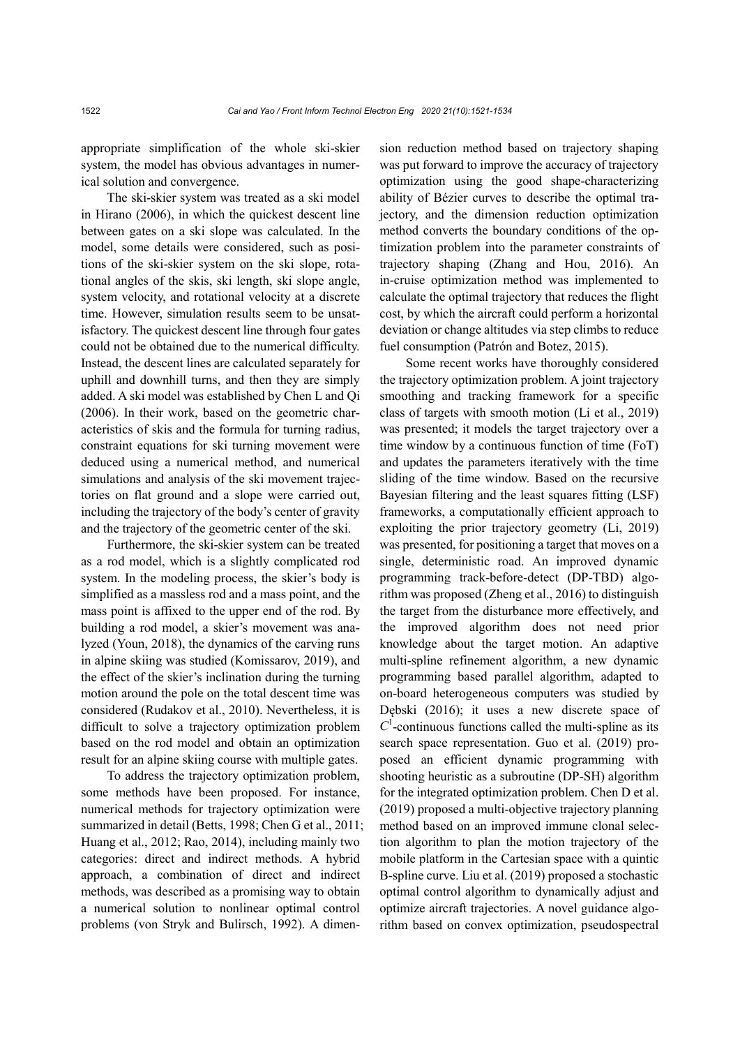appropriate simplification of the whole ski-skier system, the model has obvious advantages in numerical solution and convergence.

The ski-skier system was treated as a ski model in Hirano (2006), in which the quickest descent line between gates on a ski slope was calculated. In the model, some details were considered, such as positions of the ski-skier system on the ski slope, rotational angles of the skis, ski length, ski slope angle, system velocity, and rotational velocity at a discrete time. However, simulation results seem to be unsatisfactory. The quickest descent line through four gates could not be obtained due to the numerical difficulty. Instead, the descent lines are calculated separately for uphill and downhill turns, and then they are simply added. A ski model was established by Chen L and Qi (2006). In their work, based on the geometric characteristics of skis and the formula for turning radius, constraint equations for ski turning movement were deduced using a numerical method, and numerical simulations and analysis of the ski movement trajectories on flat ground and a slope were carried out, including the trajectory of the body's center of gravity and the trajectory of the geometric center of the ski.

Furthermore, the ski-skier system can be treated as a rod model, which is a slightly complicated rod system. In the modeling process, the skier's body is simplified as a massless rod and a mass point, and the mass point is affixed to the upper end of the rod. By building a rod model, a skier's movement was analyzed (Youn, 2018), the dynamics of the carving runs in alpine skiing was studied (Komissarov, 2019), and the effect of the skier's inclination during the turning motion around the pole on the total descent time was considered (Rudakov et al., 2010). Nevertheless, it is difficult to solve a trajectory optimization problem based on the rod model and obtain an optimization result for an alpine skiing course with multiple gates.

To address the trajectory optimization problem, some methods have been proposed. For instance, numerical methods for trajectory optimization were summarized in detail (Betts, 1998; Chen G et al., 2011; Huang et al., 2012; Rao, 2014), including mainly two categories: direct and indirect methods. A hybrid approach, a combination of direct and indirect methods, was described as a promising way to obtain a numerical solution to nonlinear optimal control problems (von Stryk and Bulirsch, 1992). A dimension reduction method based on trajectory shaping was put forward to improve the accuracy of trajectory optimization using the good shape-characterizing ability of Bézier curves to describe the optimal trajectory, and the dimension reduction optimization method converts the boundary conditions of the optimization problem into the parameter constraints of trajectory shaping (Zhang and Hou, 2016). An in-cruise optimization method was implemented to calculate the optimal trajectory that reduces the flight cost, by which the aircraft could perform a horizontal deviation or change altitudes via step climbs to reduce fuel consumption (Patrón and Botez, 2015).

Some recent works have thoroughly considered the trajectory optimization problem. A joint trajectory smoothing and tracking framework for a specific class of targets with smooth motion (Li et al., 2019) was presented; it models the target trajectory over a time window by a continuous function of time (FoT) and updates the parameters iteratively with the time sliding of the time window. Based on the recursive Bayesian filtering and the least squares fitting (LSF) frameworks, a computationally efficient approach to exploiting the prior trajectory geometry (Li, 2019) was presented, for positioning a target that moves on a single, deterministic road. An improved dynamic programming track-before-detect (DP-TBD) algorithm was proposed (Zheng et al., 2016) to distinguish the target from the disturbance more effectively, and the improved algorithm does not need prior knowledge about the target motion. An adaptive multi-spline refinement algorithm, a new dynamic programming based parallel algorithm, adapted to on-board heterogeneous computers was studied by Dębski (2016); it uses a new discrete space of  $C<sup>1</sup>$ -continuous functions called the multi-spline as its search space representation. Guo et al. (2019) proposed an efficient dynamic programming with shooting heuristic as a subroutine (DP-SH) algorithm for the integrated optimization problem. Chen D et al. (2019) proposed a multi-objective trajectory planning method based on an improved immune clonal selection algorithm to plan the motion trajectory of the mobile platform in the Cartesian space with a quintic B-spline curve. Liu et al. (2019) proposed a stochastic optimal control algorithm to dynamically adjust and optimize aircraft trajectories. A novel guidance algorithm based on convex optimization, pseudospectral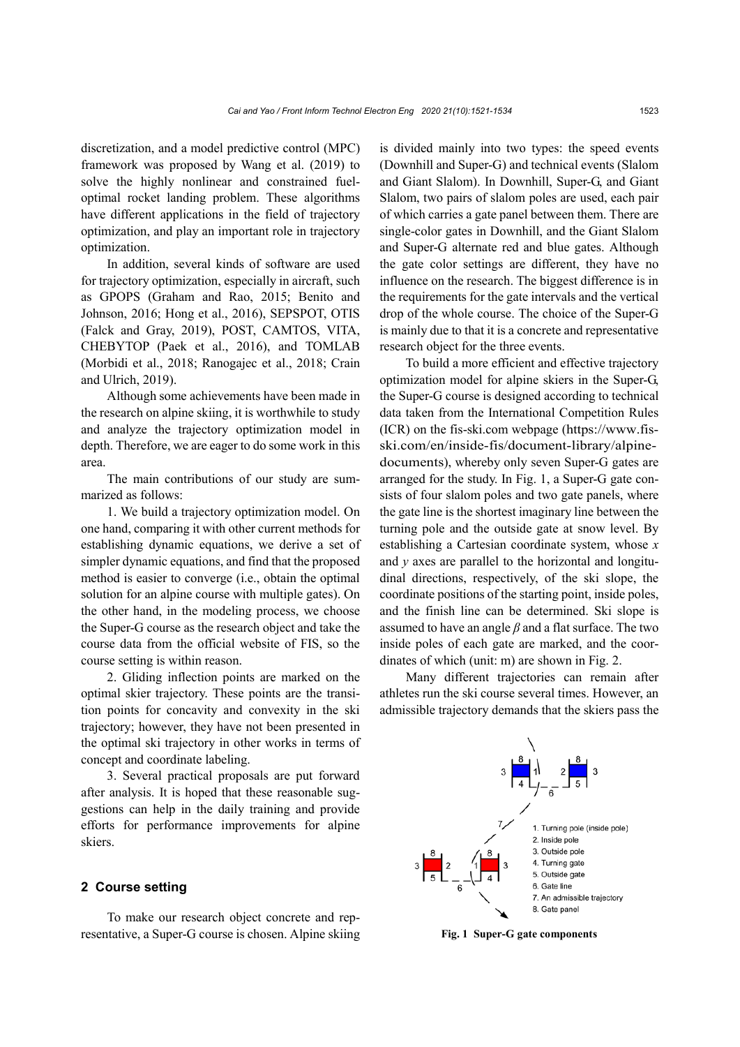discretization, and a model predictive control (MPC) framework was proposed by Wang et al. (2019) to solve the highly nonlinear and constrained fueloptimal rocket landing problem. These algorithms have different applications in the field of trajectory optimization, and play an important role in trajectory optimization.

In addition, several kinds of software are used for trajectory optimization, especially in aircraft, such as GPOPS (Graham and Rao, 2015; Benito and Johnson, 2016; Hong et al., 2016), SEPSPOT, OTIS (Falck and Gray, 2019), POST, CAMTOS, VITA, CHEBYTOP (Paek et al., 2016), and TOMLAB (Morbidi et al., 2018; Ranogajec et al., 2018; Crain and Ulrich, 2019).

Although some achievements have been made in the research on alpine skiing, it is worthwhile to study and analyze the trajectory optimization model in depth. Therefore, we are eager to do some work in this area.

The main contributions of our study are summarized as follows:

1. We build a trajectory optimization model. On one hand, comparing it with other current methods for establishing dynamic equations, we derive a set of simpler dynamic equations, and find that the proposed method is easier to converge (i.e., obtain the optimal solution for an alpine course with multiple gates). On the other hand, in the modeling process, we choose the Super-G course as the research object and take the course data from the official website of FIS, so the course setting is within reason.

2. Gliding inflection points are marked on the optimal skier trajectory. These points are the transition points for concavity and convexity in the ski trajectory; however, they have not been presented in the optimal ski trajectory in other works in terms of concept and coordinate labeling.

3. Several practical proposals are put forward after analysis. It is hoped that these reasonable suggestions can help in the daily training and provide efforts for performance improvements for alpine skiers.

# **2 Course setting**

To make our research object concrete and representative, a Super-G course is chosen. Alpine skiing is divided mainly into two types: the speed events (Downhill and Super-G) and technical events (Slalom and Giant Slalom). In Downhill, Super-G, and Giant Slalom, two pairs of slalom poles are used, each pair of which carries a gate panel between them. There are single-color gates in Downhill, and the Giant Slalom and Super-G alternate red and blue gates. Although the gate color settings are different, they have no influence on the research. The biggest difference is in the requirements for the gate intervals and the vertical drop of the whole course. The choice of the Super-G is mainly due to that it is a concrete and representative research object for the three events.

To build a more efficient and effective trajectory optimization model for alpine skiers in the Super-G, the Super-G course is designed according to technical data taken from the International Competition Rules (ICR) on the fis-ski.com webpage (https://www.fisski.com/en/inside-fis/document-library/alpinedocuments), whereby only seven Super-G gates are arranged for the study. In Fig. 1, a Super-G gate consists of four slalom poles and two gate panels, where the gate line is the shortest imaginary line between the turning pole and the outside gate at snow level. By establishing a Cartesian coordinate system, whose *x* and *y* axes are parallel to the horizontal and longitudinal directions, respectively, of the ski slope, the coordinate positions of the starting point, inside poles, and the finish line can be determined. Ski slope is assumed to have an angle *β* and a flat surface. The two inside poles of each gate are marked, and the coordinates of which (unit: m) are shown in Fig. 2.

Many different trajectories can remain after athletes run the ski course several times. However, an admissible trajectory demands that the skiers pass the



**Fig. 1 Super-G gate components**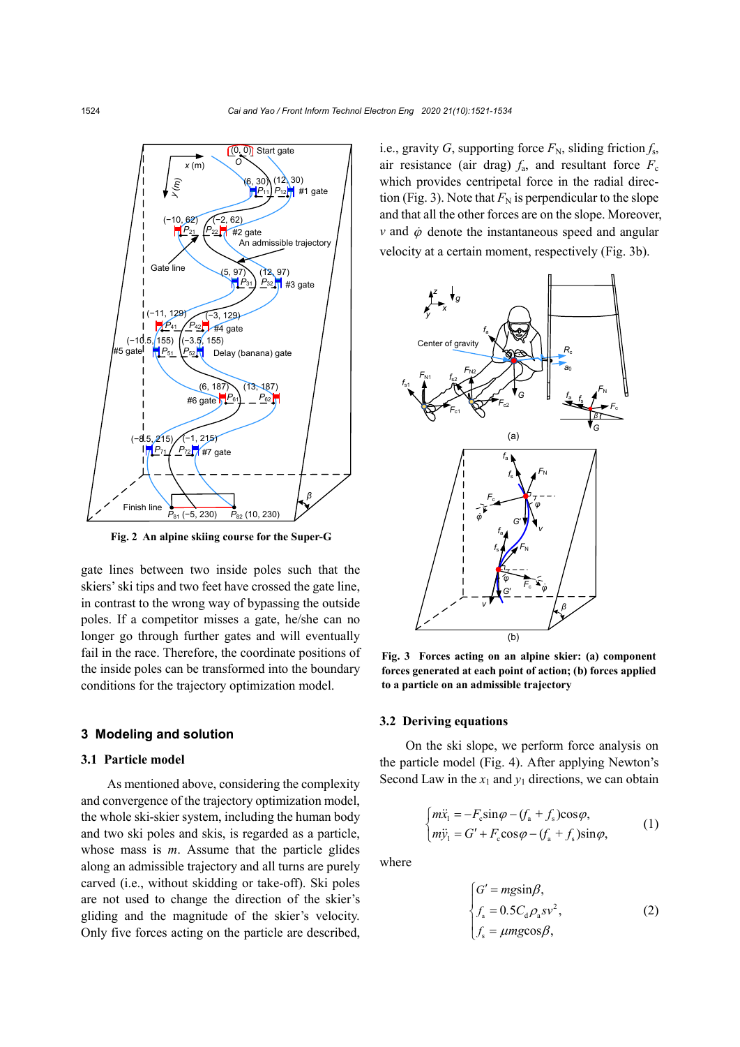

**Fig. 2 An alpine skiing course for the Super-G**

gate lines between two inside poles such that the skiers'ski tips and two feet have crossed the gate line, in contrast to the wrong way of bypassing the outside poles. If a competitor misses a gate, he/she can no longer go through further gates and will eventually fail in the race. Therefore, the coordinate positions of the inside poles can be transformed into the boundary conditions for the trajectory optimization model.

### **3 Modeling and solution**

## **3.1 Particle model**

As mentioned above, considering the complexity and convergence of the trajectory optimization model, the whole ski-skier system, including the human body and two ski poles and skis, is regarded as a particle, whose mass is *m*. Assume that the particle glides along an admissible trajectory and all turns are purely carved (i.e., without skidding or take-off). Ski poles are not used to change the direction of the skier's gliding and the magnitude of the skier's velocity. Only five forces acting on the particle are described, i.e., gravity *G*, supporting force  $F_N$ , sliding friction  $f_S$ , air resistance (air drag)  $f_a$ , and resultant force  $F_c$ which provides centripetal force in the radial direction (Fig. 3). Note that  $F_N$  is perpendicular to the slope and that all the other forces are on the slope. Moreover,  $v$  and  $\dot{\phi}$  denote the instantaneous speed and angular velocity at a certain moment, respectively (Fig. 3b).



**Fig. 3 Forces acting on an alpine skier: (a) component forces generated at each point of action; (b) forces applied to a particle on an admissible trajectory**

### **3.2 Deriving equations**

On the ski slope, we perform force analysis on the particle model (Fig. 4). After applying Newton's Second Law in the  $x_1$  and  $y_1$  directions, we can obtain

$$
\begin{cases}\n m\ddot{x}_1 = -F_c \sin\varphi - (f_a + f_s)\cos\varphi, \\
 m\ddot{y}_1 = G' + F_c \cos\varphi - (f_a + f_s)\sin\varphi,\n\end{cases} (1)
$$

where

$$
\begin{cases}\nG' = mg\sin\beta, \\
f_a = 0.5C_d\rho_a s v^2, \\
f_s = \mu mg\cos\beta,\n\end{cases}
$$
\n(2)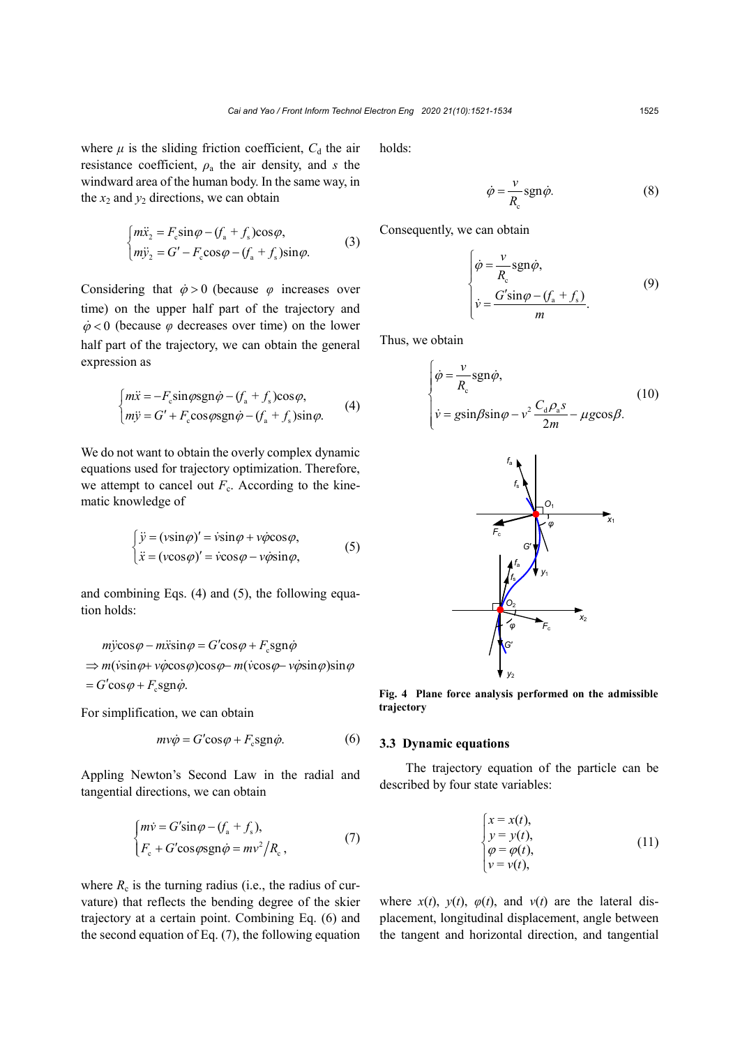where  $\mu$  is the sliding friction coefficient,  $C_d$  the air resistance coefficient,  $\rho_a$  the air density, and *s* the windward area of the human body. In the same way, in the  $x_2$  and  $y_2$  directions, we can obtain

$$
\begin{cases}\n m\ddot{x}_2 = F_c \sin \varphi - (f_a + f_s) \cos \varphi, \\
 m\ddot{y}_2 = G' - F_c \cos \varphi - (f_a + f_s) \sin \varphi.\n\end{cases}
$$
\n(3)

Considering that  $\dot{\varphi} > 0$  (because  $\varphi$  increases over time) on the upper half part of the trajectory and  $\dot{\varphi}$  < 0 (because  $\varphi$  decreases over time) on the lower half part of the trajectory, we can obtain the general expression as

$$
\begin{cases}\n m\ddot{x} = -F_c \sin \varphi \text{sgn}\dot{\varphi} - (f_a + f_s) \cos \varphi, \\
 m\ddot{y} = G' + F_c \cos \varphi \text{sgn}\dot{\varphi} - (f_a + f_s) \sin \varphi.\n\end{cases}
$$
\n(4)

We do not want to obtain the overly complex dynamic equations used for trajectory optimization. Therefore, we attempt to cancel out  $F_c$ . According to the kinematic knowledge of

$$
\begin{cases}\n\ddot{y} = (v \sin \varphi)' = \dot{v} \sin \varphi + v \dot{\varphi} \cos \varphi, \\
\ddot{x} = (v \cos \varphi)' = \dot{v} \cos \varphi - v \dot{\varphi} \sin \varphi,\n\end{cases}
$$
\n(5)

and combining Eqs. (4) and (5), the following equation holds:

$$
m\ddot{\text{y}}\cos\varphi - m\ddot{\text{x}}\sin\varphi = G'\cos\varphi + F_c \text{sgn}\dot{\varphi}
$$
  
\n
$$
\Rightarrow m(\dot{\text{y}}\sin\varphi + \dot{\text{y}}\dot{\text{y}}\cos\varphi)\cos\varphi - m(\dot{\text{y}}\cos\varphi - \dot{\text{y}}\dot{\text{y}}\sin\varphi)\sin\varphi
$$
  
\n
$$
= G'\cos\varphi + F_c \text{sgn}\dot{\varphi}.
$$

For simplification, we can obtain

$$
mv\dot{\varphi} = G'\cos\varphi + F_c \text{sgn}\dot{\varphi}.\tag{6}
$$

Appling Newton's Second Law in the radial and tangential directions, we can obtain

$$
\begin{cases} m\dot{v} = G'\sin\varphi - (f_a + f_s), \\ F_c + G'\cos\varphi \operatorname{sgn}\dot{\varphi} = m v^2 / R_c, \end{cases}
$$
 (7)

where  $R_c$  is the turning radius (i.e., the radius of curvature) that reflects the bending degree of the skier trajectory at a certain point. Combining Eq. (6) and the second equation of Eq. (7), the following equation

holds:

$$
\dot{\varphi} = \frac{v}{R_{\rm c}} \text{sgn}\dot{\varphi}.\tag{8}
$$

Consequently, we can obtain

$$
\begin{cases}\n\dot{\varphi} = \frac{v}{R_{\rm e}} \text{sgn}\dot{\varphi}, \\
\dot{v} = \frac{G' \text{sin}\varphi - (f_{\rm a} + f_{\rm s})}{m}.\n\end{cases}
$$
\n(9)

Thus, we obtain

$$
\begin{cases}\n\dot{\varphi} = \frac{v}{R_{c}} \text{sgn}\dot{\varphi}, \\
\dot{v} = g \text{sin}\beta \text{sin}\varphi - v^{2} \frac{C_{d} \rho_{a} s}{2m} - \mu g \text{cos}\beta.\n\end{cases}
$$
\n(10)



**Fig. 4 Plane force analysis performed on the admissible trajectory**

### **3.3 Dynamic equations**

The trajectory equation of the particle can be described by four state variables:

$$
\begin{cases}\nx = x(t), \\
y = y(t), \\
\varphi = \varphi(t), \\
v = v(t),\n\end{cases} (11)
$$

where  $x(t)$ ,  $y(t)$ ,  $\varphi(t)$ , and  $v(t)$  are the lateral displacement, longitudinal displacement, angle between the tangent and horizontal direction, and tangential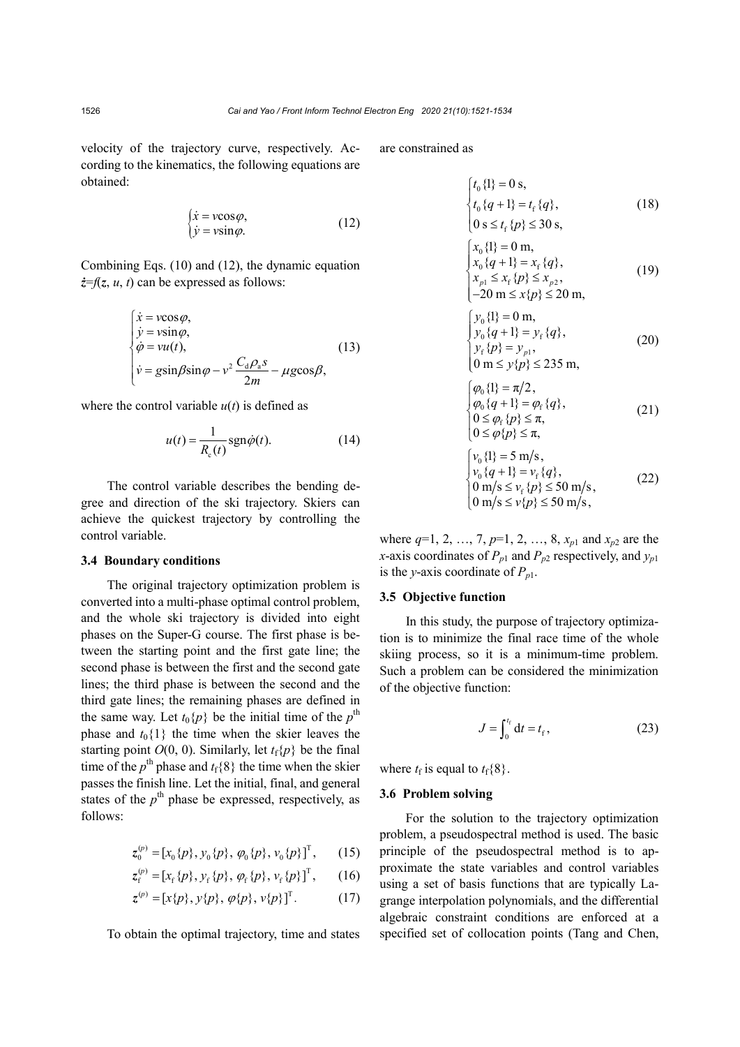velocity of the trajectory curve, respectively. According to the kinematics, the following equations are obtained:

$$
\begin{cases}\n\dot{x} = v \cos \varphi, \\
\dot{y} = v \sin \varphi.\n\end{cases}
$$
\n(12)

Combining Eqs. (10) and (12), the dynamic equation *ż*=*f*(*z*, *u*, *t*) can be expressed as follows:

$$
\begin{cases}\n\dot{x} = v \cos \varphi, \\
\dot{y} = v \sin \varphi, \\
\dot{\varphi} = v u(t), \\
\dot{v} = g \sin \beta \sin \varphi - v^2 \frac{C_d \rho_a s}{2m} - \mu g \cos \beta,\n\end{cases}
$$
\n(13)

where the control variable  $u(t)$  is defined as

$$
u(t) = \frac{1}{R_c(t)} \operatorname{sgn} \dot{\varphi}(t). \tag{14}
$$

The control variable describes the bending degree and direction of the ski trajectory. Skiers can achieve the quickest trajectory by controlling the control variable.

#### **3.4 Boundary conditions**

The original trajectory optimization problem is converted into a multi-phase optimal control problem, and the whole ski trajectory is divided into eight phases on the Super-G course. The first phase is between the starting point and the first gate line; the second phase is between the first and the second gate lines; the third phase is between the second and the third gate lines; the remaining phases are defined in the same way. Let  $t_0\{p\}$  be the initial time of the  $p^{\text{th}}$ phase and  $t_0$ {1} the time when the skier leaves the starting point  $O(0, 0)$ . Similarly, let  $t_f\{p\}$  be the final time of the  $p^{\text{th}}$  phase and  $t_{\text{f}}\{8\}$  the time when the skier passes the finish line. Let the initial, final, and general states of the  $p^{\text{th}}$  phase be expressed, respectively, as follows:

$$
z_0^{(p)} = [x_0\{p\}, y_0\{p\}, \varphi_0\{p\}, v_0\{p\}]^T, \qquad (15)
$$

$$
z_{f}^{(p)} = [x_{f} \{p\}, y_{f} \{p\}, \varphi_{f} \{p\}, v_{f} \{p\}]^{T}, \qquad (16)
$$

$$
z^{(p)} = [x\{p\}, y\{p\}, \varphi\{p\}, v\{p\}]^{\mathrm{T}}.
$$
 (17)

To obtain the optimal trajectory, time and states

are constrained as

$$
\begin{cases} t_0 \{1\} = 0 \text{ s}, \\ t_0 \{q+1\} = t_f \{q\}, \\ 0 \text{ s} \le t_f \{p\} \le 30 \text{ s}, \end{cases} \tag{18}
$$

$$
\begin{cases}\n x_0 \{1\} = 0 \text{ m}, \n x_0 \{q + 1\} = x_f \{q\}, \n x_{p1} \le x_f \{p\} \le x_{p2}, \n -20 \text{ m} \le x\{p\} \le 20 \text{ m},\n\end{cases}
$$
\n(19)

$$
\begin{cases}\ny_0 \{1\} = 0 \text{ m}, \\
y_0 \{q + 1\} = y_f \{q\}, \\
y_f \{p\} = y_{p1}, \\
0 \text{ m} \le y \{p\} \le 235 \text{ m},\n\end{cases} (20)
$$

$$
\begin{cases}\n\varphi_0 \{1\} = \pi/2, \\
\varphi_0 \{q + 1\} = \varphi_f \{q\}, \\
0 \le \varphi_f \{p\} \le \pi, \\
0 \le \varphi \{p\} \le \pi,\n\end{cases}
$$
\n(21)

$$
\begin{cases}\nv_0 \{1\} = 5 \text{ m/s}, \nv_0 \{q + 1\} = v_f \{q\}, \n0 \text{ m/s} \le v_f \{p\} \le 50 \text{ m/s}, \n0 \text{ m/s} \le v_f \{p\} \le 50 \text{ m/s},\n\end{cases}
$$
\n(22)

where  $q=1, 2, ..., 7, p=1, 2, ..., 8, x_{p1}$  and  $x_{p2}$  are the *x*-axis coordinates of  $P_{p1}$  and  $P_{p2}$  respectively, and  $y_{p1}$ is the *y*-axis coordinate of  $P_{p1}$ .

## **3.5 Objective function**

In this study, the purpose of trajectory optimization is to minimize the final race time of the whole skiing process, so it is a minimum-time problem. Such a problem can be considered the minimization of the objective function:

$$
J = \int_0^{t_f} dt = t_f, \tag{23}
$$

where  $t_f$  is equal to  $t_f$ {8}.

# **3.6 Problem solving**

For the solution to the trajectory optimization problem, a pseudospectral method is used. The basic principle of the pseudospectral method is to approximate the state variables and control variables using a set of basis functions that are typically Lagrange interpolation polynomials, and the differential algebraic constraint conditions are enforced at a specified set of collocation points (Tang and Chen,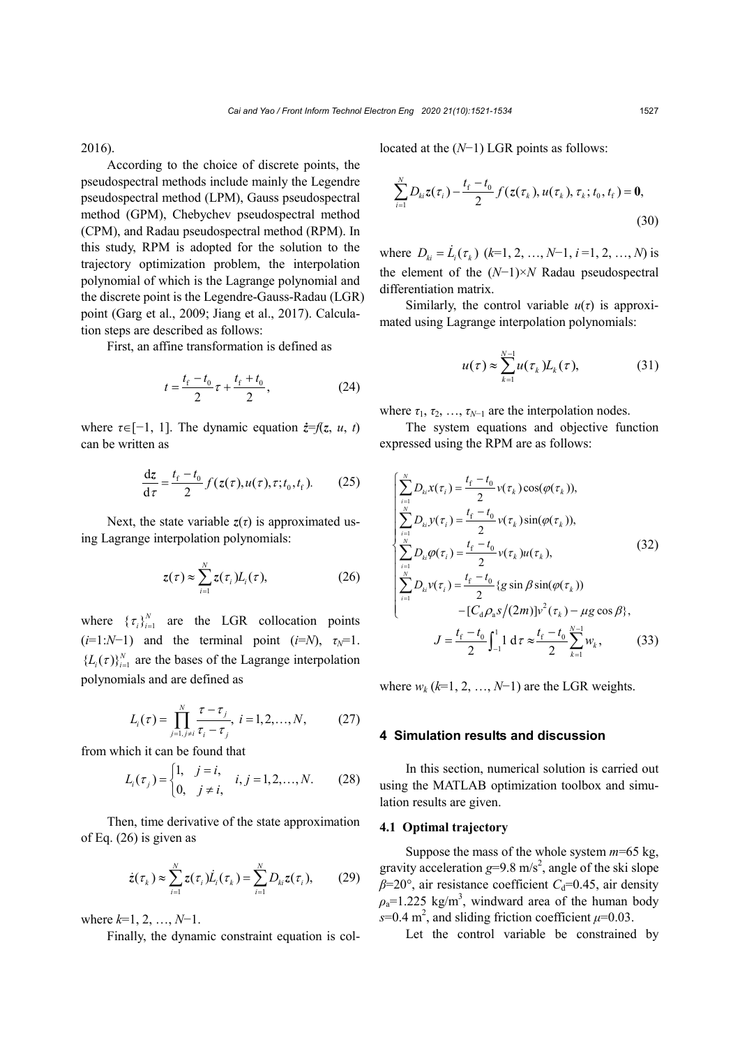2016).

According to the choice of discrete points, the pseudospectral methods include mainly the Legendre pseudospectral method (LPM), Gauss pseudospectral method (GPM), Chebychev pseudospectral method (CPM), and Radau pseudospectral method (RPM). In this study, RPM is adopted for the solution to the trajectory optimization problem, the interpolation polynomial of which is the Lagrange polynomial and the discrete point is the Legendre-Gauss-Radau (LGR) point (Garg et al., 2009; Jiang et al., 2017). Calculation steps are described as follows:

First, an affine transformation is defined as

$$
t = \frac{t_{\rm f} - t_0}{2} \tau + \frac{t_{\rm f} + t_0}{2},\tag{24}
$$

where  $\tau \in [-1, 1]$ . The dynamic equation  $\dot{z} = f(z, u, t)$ can be written as

$$
\frac{\mathrm{d}z}{\mathrm{d}\tau} = \frac{t_{\mathrm{f}} - t_{0}}{2} f(z(\tau), u(\tau), \tau; t_{0}, t_{\mathrm{f}}). \tag{25}
$$

Next, the state variable  $z(\tau)$  is approximated using Lagrange interpolation polynomials:

$$
z(\tau) \approx \sum_{i=1}^{N} z(\tau_i) L_i(\tau), \qquad (26)
$$

where  $\{\tau_i\}_{i=1}^N$  are the LGR collocation points  $(i=1:N-1)$  and the terminal point  $(i=N)$ ,  $\tau_N=1$ .  ${L_i(\tau)}_{i=1}^N$  are the bases of the Lagrange interpolation polynomials and are defined as

$$
L_i(\tau) = \prod_{j=1, j \neq i}^{N} \frac{\tau - \tau_j}{\tau_i - \tau_j}, \ i = 1, 2, ..., N,
$$
 (27)

from which it can be found that

$$
L_i(\tau_j) = \begin{cases} 1, & j = i, \\ 0, & j \neq i, \end{cases} i, j = 1, 2, ..., N.
$$
 (28)

Then, time derivative of the state approximation of Eq. (26) is given as

$$
\dot{z}(\tau_k) \approx \sum_{i=1}^N z(\tau_i) \dot{L}_i(\tau_k) = \sum_{i=1}^N D_{ki} z(\tau_i), \qquad (29)
$$

where *k*=1, 2, …, *N*−1.

Finally, the dynamic constraint equation is col-

located at the (*N*−1) LGR points as follows:

$$
\sum_{i=1}^{N} D_{ki} z(\tau_i) - \frac{t_f - t_0}{2} f(z(\tau_k), u(\tau_k), \tau_k; t_0, t_f) = \mathbf{0},
$$
\n(30)

where  $D_{ki} = \dot{L}_i(\tau_k)$  ( $k=1, 2, ..., N-1, i=1, 2, ..., N$ ) is the element of the (*N*−1)×*N* Radau pseudospectral differentiation matrix.

Similarly, the control variable  $u(\tau)$  is approximated using Lagrange interpolation polynomials:

$$
u(\tau) \approx \sum_{k=1}^{N-1} u(\tau_k) L_k(\tau), \qquad (31)
$$

where  $\tau_1, \tau_2, \ldots, \tau_{N-1}$  are the interpolation nodes.

The system equations and objective function expressed using the RPM are as follows:

$$
\begin{cases}\n\sum_{i=1}^{N} D_{ki} x(\tau_i) = \frac{t_f - t_0}{2} v(\tau_k) \cos(\varphi(\tau_k)), \\
\sum_{i=1}^{N} D_{ki} y(\tau_i) = \frac{t_f - t_0}{2} v(\tau_k) \sin(\varphi(\tau_k)), \\
\sum_{i=1}^{N} D_{ki} \varphi(\tau_i) = \frac{t_f - t_0}{2} v(\tau_k) u(\tau_k), \\
\sum_{i=1}^{N} D_{ki} v(\tau_i) = \frac{t_f - t_0}{2} \{g \sin \beta \sin(\varphi(\tau_k)) \\
-I [C_d \rho_a s / (2m)] v^2(\tau_k) - \mu g \cos \beta \}, \\
J = \frac{t_f - t_0}{2} \int_{-1}^{1} 1 d\tau \approx \frac{t_f - t_0}{2} \sum_{k=1}^{N-1} w_k,\n\end{cases}
$$
\n(33)

where  $w_k$  ( $k=1, 2, ..., N-1$ ) are the LGR weights.

## **4 Simulation results and discussion**

In this section, numerical solution is carried out using the MATLAB optimization toolbox and simulation results are given.

# **4.1 Optimal trajectory**

Suppose the mass of the whole system *m*=65 kg, gravity acceleration  $g=9.8 \text{ m/s}^2$ , angle of the ski slope  $\beta$ =20°, air resistance coefficient *C*<sub>d</sub>=0.45, air density  $\rho_a$ =1.225 kg/m<sup>3</sup>, windward area of the human body  $s=0.4$  m<sup>2</sup>, and sliding friction coefficient  $\mu=0.03$ .

Let the control variable be constrained by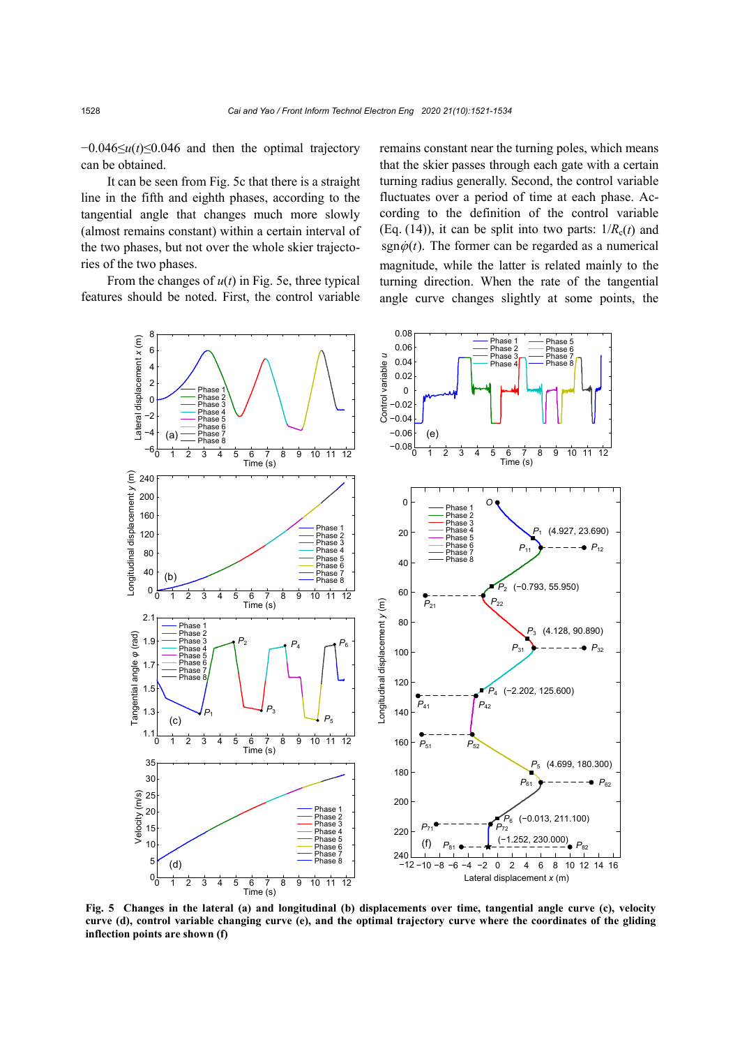−0.046≤*u*(*t*)≤0.046 and then the optimal trajectory can be obtained.

It can be seen from Fig. 5c that there is a straight line in the fifth and eighth phases, according to the tangential angle that changes much more slowly (almost remains constant) within a certain interval of the two phases, but not over the whole skier trajectories of the two phases.

From the changes of  $u(t)$  in Fig. 5e, three typical features should be noted. First, the control variable remains constant near the turning poles, which means that the skier passes through each gate with a certain turning radius generally. Second, the control variable fluctuates over a period of time at each phase. According to the definition of the control variable (Eq. (14)), it can be split into two parts:  $1/R<sub>c</sub>(t)$  and sgn $\dot{\varphi}(t)$ . The former can be regarded as a numerical magnitude, while the latter is related mainly to the turning direction. When the rate of the tangential angle curve changes slightly at some points, the



**Fig. 5 Changes in the lateral (a) and longitudinal (b) displacements over time, tangential angle curve (c), velocity curve (d), control variable changing curve (e), and the optimal trajectory curve where the coordinates of the gliding inflection points are shown (f)**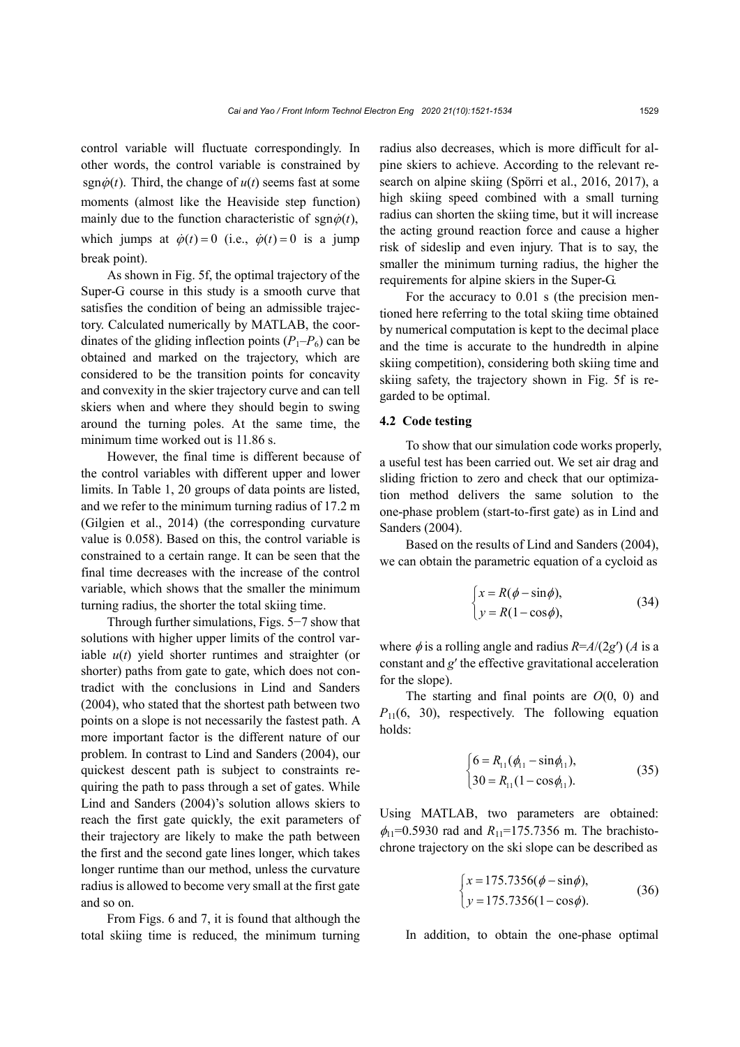control variable will fluctuate correspondingly. In other words, the control variable is constrained by sgn $\dot{\varphi}(t)$ . Third, the change of  $u(t)$  seems fast at some moments (almost like the Heaviside step function) mainly due to the function characteristic of sgn $\dot{\varphi}(t)$ , which jumps at  $\dot{\varphi}(t) = 0$  (i.e.,  $\dot{\varphi}(t) = 0$  is a jump break point).

As shown in Fig. 5f, the optimal trajectory of the Super-G course in this study is a smooth curve that satisfies the condition of being an admissible trajectory. Calculated numerically by MATLAB, the coordinates of the gliding inflection points  $(P_1-P_6)$  can be obtained and marked on the trajectory, which are considered to be the transition points for concavity and convexity in the skier trajectory curve and can tell skiers when and where they should begin to swing around the turning poles. At the same time, the minimum time worked out is 11.86 s.

However, the final time is different because of the control variables with different upper and lower limits. In Table 1, 20 groups of data points are listed, and we refer to the minimum turning radius of 17.2 m (Gilgien et al., 2014) (the corresponding curvature value is 0.058). Based on this, the control variable is constrained to a certain range. It can be seen that the final time decreases with the increase of the control variable, which shows that the smaller the minimum turning radius, the shorter the total skiing time.

Through further simulations, Figs. 5−7 show that solutions with higher upper limits of the control variable *u*(*t*) yield shorter runtimes and straighter (or shorter) paths from gate to gate, which does not contradict with the conclusions in Lind and Sanders (2004), who stated that the shortest path between two points on a slope is not necessarily the fastest path. A more important factor is the different nature of our problem. In contrast to Lind and Sanders (2004), our quickest descent path is subject to constraints requiring the path to pass through a set of gates. While Lind and Sanders (2004)'s solution allows skiers to reach the first gate quickly, the exit parameters of their trajectory are likely to make the path between the first and the second gate lines longer, which takes longer runtime than our method, unless the curvature radius is allowed to become very small at the first gate and so on.

From Figs. 6 and 7, it is found that although the total skiing time is reduced, the minimum turning radius also decreases, which is more difficult for alpine skiers to achieve. According to the relevant research on alpine skiing (Spörri et al., 2016, 2017), a high skiing speed combined with a small turning radius can shorten the skiing time, but it will increase the acting ground reaction force and cause a higher risk of sideslip and even injury. That is to say, the smaller the minimum turning radius, the higher the requirements for alpine skiers in the Super-G.

For the accuracy to 0.01 s (the precision mentioned here referring to the total skiing time obtained by numerical computation is kept to the decimal place and the time is accurate to the hundredth in alpine skiing competition), considering both skiing time and skiing safety, the trajectory shown in Fig. 5f is regarded to be optimal.

# **4.2 Code testing**

To show that our simulation code works properly, a useful test has been carried out. We set air drag and sliding friction to zero and check that our optimization method delivers the same solution to the one-phase problem (start-to-first gate) as in Lind and Sanders (2004).

Based on the results of Lind and Sanders (2004), we can obtain the parametric equation of a cycloid as

$$
\begin{cases}\n x = R(\phi - \sin \phi), \\
 y = R(1 - \cos \phi),\n\end{cases}
$$
\n(34)

where  $\phi$  is a rolling angle and radius  $R = A/(2g')$  (*A* is a constant and *g*′ the effective gravitational acceleration for the slope).

The starting and final points are *O*(0, 0) and  $P_{11}(6, 30)$ , respectively. The following equation holds:

$$
\begin{cases}\n6 = R_{11}(\phi_{11} - \sin \phi_{11}), \\
30 = R_{11}(1 - \cos \phi_{11}).\n\end{cases}
$$
\n(35)

Using MATLAB, two parameters are obtained:  $\phi_{11}$ =0.5930 rad and  $R_{11}$ =175.7356 m. The brachistochrone trajectory on the ski slope can be described as

$$
\begin{cases}\nx = 175.7356(\phi - \sin\phi), \\
y = 175.7356(1 - \cos\phi).\n\end{cases}
$$
\n(36)

In addition, to obtain the one-phase optimal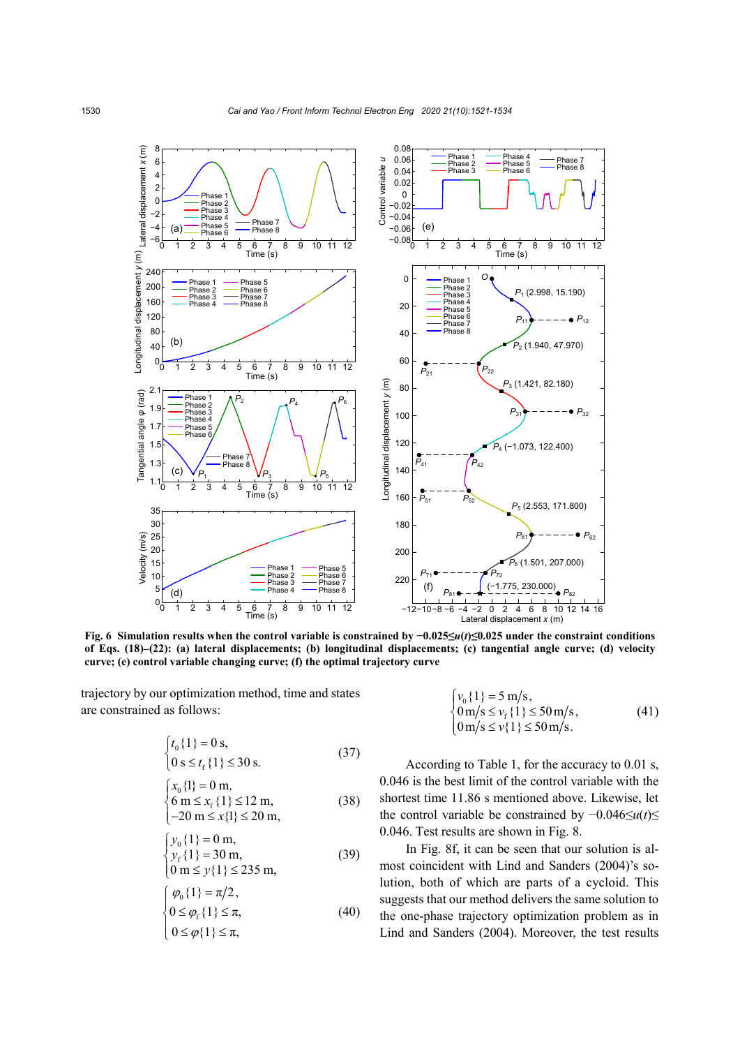

**Fig. 6 Simulation results when the control variable is constrained by −0.025≤***u***(***t***)≤0.025 under the constraint conditions of Eqs. (18)–(22): (a) lateral displacements; (b) longitudinal displacements; (c) tangential angle curve; (d) velocity curve; (e) control variable changing curve; (f) the optimal trajectory curve**

trajectory by our optimization method, time and states are constrained as follows:

$$
\begin{cases} t_0 \{1\} = 0 \text{ s}, \\ 0 \text{ s} \le t_f \{1\} \le 30 \text{ s}. \end{cases} \tag{37}
$$

$$
\begin{cases}\n x_0 \{1\} = 0 \text{ m}, \n 6 \text{ m} \le x_f \{1\} \le 12 \text{ m}, \n -20 \text{ m} \le x \{1\} \le 20 \text{ m},\n\end{cases}
$$
\n(38)

$$
\begin{cases}\ny_0\{1\} = 0 \text{ m}, \\
y_f\{1\} = 30 \text{ m}, \\
0 \text{ m} \le y\{1\} \le 235 \text{ m},\n\end{cases} (39)
$$

$$
\begin{cases}\n\varphi_0\{1\} = \pi/2, \\
0 \le \varphi_f\{1\} \le \pi, \\
0 \le \varphi\{1\} \le \pi,\n\end{cases}
$$
\n(40)

$$
\begin{cases}\nv_0\{1\} = 5 \text{ m/s}, \\
0 \text{ m/s} \le v_f\{1\} \le 50 \text{ m/s}, \\
0 \text{ m/s} \le v\{1\} \le 50 \text{ m/s}.\n\end{cases} \tag{41}
$$

According to Table 1, for the accuracy to 0.01 s, 0.046 is the best limit of the control variable with the shortest time 11.86 s mentioned above. Likewise, let the control variable be constrained by −0.046≤*u*(*t*)≤ 0.046. Test results are shown in Fig. 8.

In Fig. 8f, it can be seen that our solution is almost coincident with Lind and Sanders (2004)'s solution, both of which are parts of a cycloid. This suggests that our method delivers the same solution to the one-phase trajectory optimization problem as in Lind and Sanders (2004). Moreover, the test results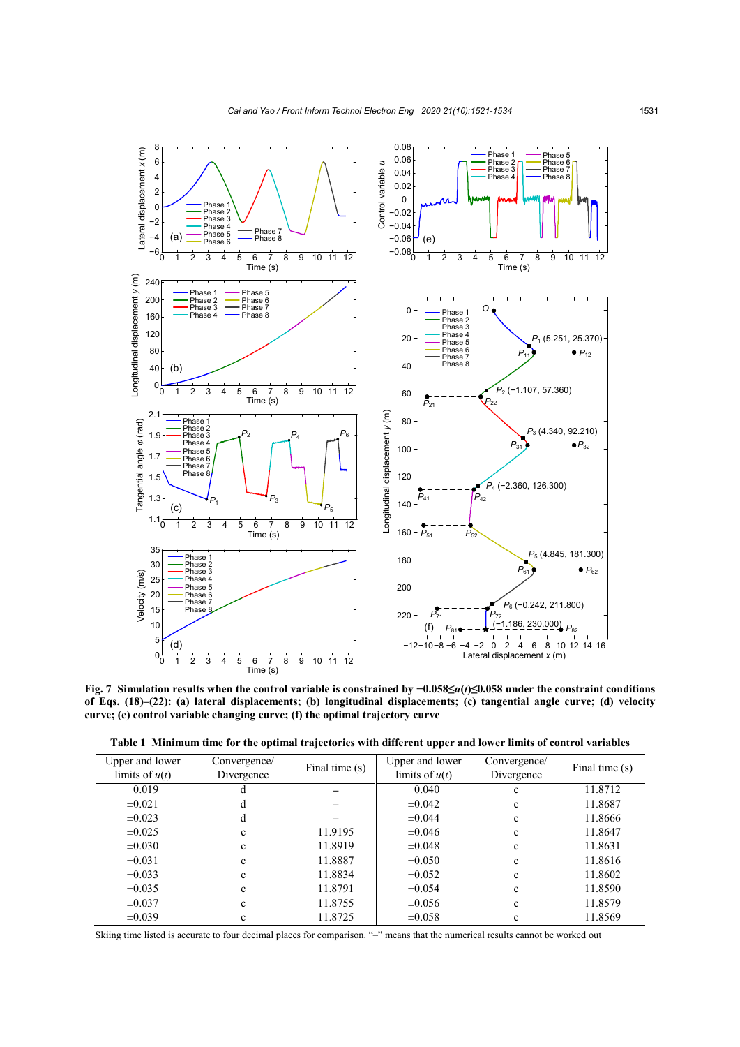

**Fig. 7 Simulation results when the control variable is constrained by −0.058≤***u***(***t***)≤0.058 under the constraint conditions of Eqs. (18)–(22): (a) lateral displacements; (b) longitudinal displacements; (c) tangential angle curve; (d) velocity curve; (e) control variable changing curve; (f) the optimal trajectory curve**

|  |  |  | Table 1 Minimum time for the optimal trajectories with different upper and lower limits of control variables |  |  |  |
|--|--|--|--------------------------------------------------------------------------------------------------------------|--|--|--|
|  |  |  |                                                                                                              |  |  |  |

| Upper and lower  | Convergence/ | Final time (s) | Upper and lower  | Convergence/ | Final time (s) |  |
|------------------|--------------|----------------|------------------|--------------|----------------|--|
| limits of $u(t)$ | Divergence   |                | limits of $u(t)$ | Divergence   |                |  |
| $\pm 0.019$      | a            |                | $\pm 0.040$      | $\mathbf c$  | 11.8712        |  |
| $\pm 0.021$      | d            |                | $\pm 0.042$      | c            | 11.8687        |  |
| $\pm 0.023$      | d            |                | ±0.044           | $\mathbf c$  | 11.8666        |  |
| $\pm 0.025$      | $\mathbf c$  | 11.9195        | $\pm 0.046$      | $\mathbf c$  | 11.8647        |  |
| $\pm 0.030$      | $\mathbf c$  | 11.8919        | $\pm 0.048$      | $\mathbf c$  | 11.8631        |  |
| $\pm 0.031$      | $\mathbf c$  | 11.8887        | $\pm 0.050$      | $\mathbf c$  | 11.8616        |  |
| $\pm 0.033$      | $\mathbf c$  | 11.8834        | $\pm 0.052$      | $\mathbf c$  | 11.8602        |  |
| $\pm 0.035$      | $\mathbf c$  | 11.8791        | $\pm 0.054$      | $\mathbf c$  | 11.8590        |  |
| $\pm 0.037$      | $\mathbf c$  | 11.8755        | $\pm 0.056$      | $\mathbf c$  | 11.8579        |  |
| $\pm 0.039$      | c            | 11.8725        | $\pm 0.058$      | c            | 11.8569        |  |

Skiing time listed is accurate to four decimal places for comparison. "-" means that the numerical results cannot be worked out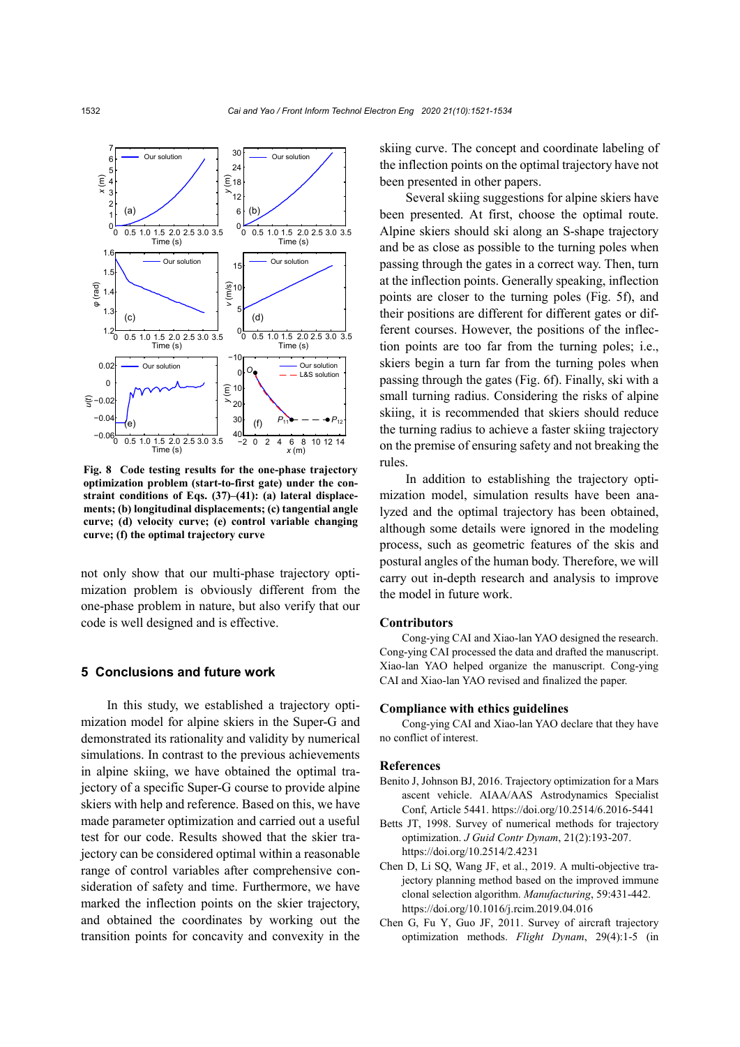

**Fig. 8 Code testing results for the one-phase trajectory optimization problem (start-to-first gate) under the constraint conditions of Eqs. (37)–(41): (a) lateral displacements; (b) longitudinal displacements; (c) tangential angle curve; (d) velocity curve; (e) control variable changing curve; (f) the optimal trajectory curve**

not only show that our multi-phase trajectory optimization problem is obviously different from the one-phase problem in nature, but also verify that our code is well designed and is effective.

# **5 Conclusions and future work**

In this study, we established a trajectory optimization model for alpine skiers in the Super-G and demonstrated its rationality and validity by numerical simulations. In contrast to the previous achievements in alpine skiing, we have obtained the optimal trajectory of a specific Super-G course to provide alpine skiers with help and reference. Based on this, we have made parameter optimization and carried out a useful test for our code. Results showed that the skier trajectory can be considered optimal within a reasonable range of control variables after comprehensive consideration of safety and time. Furthermore, we have marked the inflection points on the skier trajectory, and obtained the coordinates by working out the transition points for concavity and convexity in the skiing curve. The concept and coordinate labeling of the inflection points on the optimal trajectory have not been presented in other papers.

Several skiing suggestions for alpine skiers have been presented. At first, choose the optimal route. Alpine skiers should ski along an S-shape trajectory and be as close as possible to the turning poles when passing through the gates in a correct way. Then, turn at the inflection points. Generally speaking, inflection points are closer to the turning poles (Fig. 5f), and their positions are different for different gates or different courses. However, the positions of the inflection points are too far from the turning poles; i.e., skiers begin a turn far from the turning poles when passing through the gates (Fig. 6f). Finally, ski with a small turning radius. Considering the risks of alpine skiing, it is recommended that skiers should reduce the turning radius to achieve a faster skiing trajectory on the premise of ensuring safety and not breaking the rules.

In addition to establishing the trajectory optimization model, simulation results have been analyzed and the optimal trajectory has been obtained, although some details were ignored in the modeling process, such as geometric features of the skis and postural angles of the human body. Therefore, we will carry out in-depth research and analysis to improve the model in future work.

#### **Contributors**

Cong-ying CAI and Xiao-lan YAO designed the research. Cong-ying CAI processed the data and drafted the manuscript. Xiao-lan YAO helped organize the manuscript. Cong-ying CAI and Xiao-lan YAO revised and finalized the paper.

#### **Compliance with ethics guidelines**

Cong-ying CAI and Xiao-lan YAO declare that they have no conflict of interest.

#### **References**

- Benito J, Johnson BJ, 2016. Trajectory optimization for a Mars ascent vehicle. AIAA/AAS Astrodynamics Specialist Conf, Article 5441. https://doi.org/10.2514/6.2016-5441
- Betts JT, 1998. Survey of numerical methods for trajectory optimization. *J Guid Contr Dynam*, 21(2):193-207. https://doi.org/10.2514/2.4231
- Chen D, Li SQ, Wang JF, et al., 2019. A multi-objective trajectory planning method based on the improved immune clonal selection algorithm. *Manufacturing*, 59:431-442. https://doi.org/10.1016/j.rcim.2019.04.016
- Chen G, Fu Y, Guo JF, 2011. Survey of aircraft trajectory optimization methods. *Flight Dynam*, 29(4):1-5 (in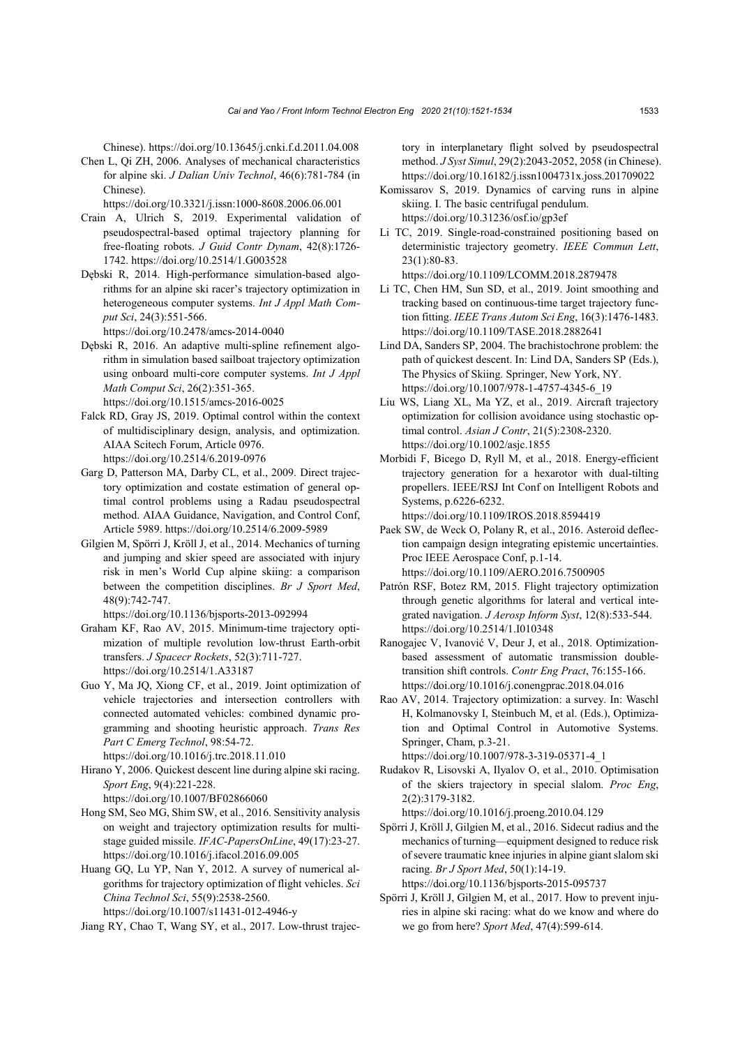Chinese). https://doi.org/10.13645/j.cnki.f.d.2011.04.008

Chen L, Qi ZH, 2006. Analyses of mechanical characteristics for alpine ski. *J Dalian Univ Technol*, 46(6):781-784 (in Chinese).

https://doi.org/10.3321/j.issn:1000-8608.2006.06.001

- Crain A, Ulrich S, 2019. Experimental validation of pseudospectral-based optimal trajectory planning for free-floating robots. *J Guid Contr Dynam*, 42(8):1726- 1742. https://doi.org/10.2514/1.G003528
- Dębski R, 2014. High-performance simulation-based algorithms for an alpine ski racer's trajectory optimization in heterogeneous computer systems. *Int J Appl Math Comput Sci*, 24(3):551-566.

https://doi.org/10.2478/amcs-2014-0040

Dębski R, 2016. An adaptive multi-spline refinement algorithm in simulation based sailboat trajectory optimization using onboard multi-core computer systems. *Int J Appl Math Comput Sci*, 26(2):351-365.

https://doi.org/10.1515/amcs-2016-0025

- Falck RD, Gray JS, 2019. Optimal control within the context of multidisciplinary design, analysis, and optimization. AIAA Scitech Forum, Article 0976. https://doi.org/10.2514/6.2019-0976
- Garg D, Patterson MA, Darby CL, et al., 2009. Direct trajectory optimization and costate estimation of general optimal control problems using a Radau pseudospectral method. AIAA Guidance, Navigation, and Control Conf, Article 5989. https://doi.org/10.2514/6.2009-5989
- Gilgien M, Spörri J, Kröll J, et al., 2014. Mechanics of turning and jumping and skier speed are associated with injury risk in men's World Cup alpine skiing: a comparison between the competition disciplines. *Br J Sport Med*, 48(9):742-747.

https://doi.org/10.1136/bjsports-2013-092994

- Graham KF, Rao AV, 2015. Minimum-time trajectory optimization of multiple revolution low-thrust Earth-orbit transfers. *J Spacecr Rockets*, 52(3):711-727. https://doi.org/10.2514/1.A33187
- Guo Y, Ma JQ, Xiong CF, et al., 2019. Joint optimization of vehicle trajectories and intersection controllers with connected automated vehicles: combined dynamic programming and shooting heuristic approach. *Trans Res Part C Emerg Technol*, 98:54-72.

https://doi.org/10.1016/j.trc.2018.11.010

Hirano Y, 2006. Quickest descent line during alpine ski racing. *Sport Eng*, 9(4):221-228.

https://doi.org/10.1007/BF02866060

Hong SM, Seo MG, Shim SW, et al., 2016. Sensitivity analysis on weight and trajectory optimization results for multistage guided missile. *IFAC-PapersOnLine*, 49(17):23-27. https://doi.org/10.1016/j.ifacol.2016.09.005

Huang GQ, Lu YP, Nan Y, 2012. A survey of numerical algorithms for trajectory optimization of flight vehicles. *Sci China Technol Sci*, 55(9):2538-2560. https://doi.org/10.1007/s11431-012-4946-y

Jiang RY, Chao T, Wang SY, et al., 2017. Low-thrust trajec-

tory in interplanetary flight solved by pseudospectral method. *J Syst Simul*, 29(2):2043-2052, 2058 (in Chinese). https://doi.org/10.16182/j.issn1004731x.joss.201709022

- Komissarov S, 2019. Dynamics of carving runs in alpine skiing. I. The basic centrifugal pendulum. https://doi.org/10.31236/osf.io/gp3ef
- Li TC, 2019. Single-road-constrained positioning based on deterministic trajectory geometry. *IEEE Commun Lett*, 23(1):80-83.

https://doi.org/10.1109/LCOMM.2018.2879478

- Li TC, Chen HM, Sun SD, et al., 2019. Joint smoothing and tracking based on continuous-time target trajectory function fitting. *IEEE Trans Autom Sci Eng*, 16(3):1476-1483. https://doi.org/10.1109/TASE.2018.2882641
- Lind DA, Sanders SP, 2004. The brachistochrone problem: the path of quickest descent. In: Lind DA, Sanders SP (Eds.), The Physics of Skiing. Springer, New York, NY. https://doi.org/10.1007/978-1-4757-4345-6\_19
- Liu WS, Liang XL, Ma YZ, et al., 2019. Aircraft trajectory optimization for collision avoidance using stochastic optimal control. *Asian J Contr*, 21(5):2308-2320. https://doi.org/10.1002/asjc.1855
- Morbidi F, Bicego D, Ryll M, et al., 2018. Energy-efficient trajectory generation for a hexarotor with dual-tilting propellers. IEEE/RSJ Int Conf on Intelligent Robots and Systems, p.6226-6232.

https://doi.org/10.1109/IROS.2018.8594419

- Paek SW, de Weck O, Polany R, et al., 2016. Asteroid deflection campaign design integrating epistemic uncertainties. Proc IEEE Aerospace Conf, p.1-14. https://doi.org/10.1109/AERO.2016.7500905
- Patrón RSF, Botez RM, 2015. Flight trajectory optimization through genetic algorithms for lateral and vertical integrated navigation. *J Aerosp Inform Syst*, 12(8):533-544. https://doi.org/10.2514/1.I010348
- Ranogajec V, Ivanović V, Deur J, et al., 2018. Optimizationbased assessment of automatic transmission doubletransition shift controls. *Contr Eng Pract*, 76:155-166. https://doi.org/10.1016/j.conengprac.2018.04.016
- Rao AV, 2014. Trajectory optimization: a survey. In: Waschl H, Kolmanovsky I, Steinbuch M, et al. (Eds.), Optimization and Optimal Control in Automotive Systems. Springer, Cham, p.3-21.

https://doi.org/10.1007/978-3-319-05371-4\_1

Rudakov R, Lisovski A, Ilyalov O, et al., 2010. Optimisation of the skiers trajectory in special slalom. *Proc Eng*, 2(2):3179-3182. https://doi.org/10.1016/j.proeng.2010.04.129

Spörri J, Kröll J, Gilgien M, et al., 2016. Sidecut radius and the mechanics of turning—equipment designed to reduce risk of severe traumatic knee injuries in alpine giant slalom ski racing. *Br J Sport Med*, 50(1):14-19.

https://doi.org/10.1136/bjsports-2015-095737

Spörri J, Kröll J, Gilgien M, et al., 2017. How to prevent injuries in alpine ski racing: what do we know and where do we go from here? *Sport Med*, 47(4):599-614.